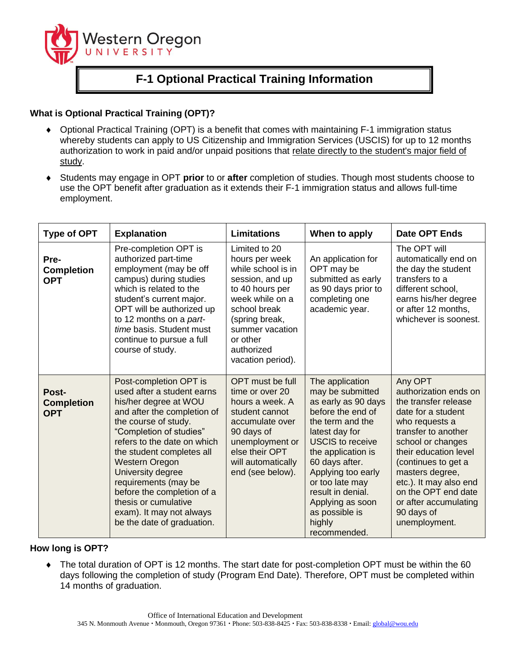

# **F-1 Optional Practical Training Information**

# **What is Optional Practical Training (OPT)?**

- Optional Practical Training (OPT) is a benefit that comes with maintaining F-1 immigration status whereby students can apply to US Citizenship and Immigration Services (USCIS) for up to 12 months authorization to work in paid and/or unpaid positions that relate directly to the student's major field of study.
- Students may engage in OPT **prior** to or **after** completion of studies. Though most students choose to use the OPT benefit after graduation as it extends their F-1 immigration status and allows full-time employment.

| <b>Type of OPT</b>                       | <b>Explanation</b>                                                                                                                                                                                                                                                                                                                                                                                                | <b>Limitations</b>                                                                                                                                                                                                 | When to apply                                                                                                                                                                                                                                                                                                          | <b>Date OPT Ends</b>                                                                                                                                                                                                                                                                                                     |
|------------------------------------------|-------------------------------------------------------------------------------------------------------------------------------------------------------------------------------------------------------------------------------------------------------------------------------------------------------------------------------------------------------------------------------------------------------------------|--------------------------------------------------------------------------------------------------------------------------------------------------------------------------------------------------------------------|------------------------------------------------------------------------------------------------------------------------------------------------------------------------------------------------------------------------------------------------------------------------------------------------------------------------|--------------------------------------------------------------------------------------------------------------------------------------------------------------------------------------------------------------------------------------------------------------------------------------------------------------------------|
| Pre-<br><b>Completion</b><br><b>OPT</b>  | Pre-completion OPT is<br>authorized part-time<br>employment (may be off<br>campus) during studies<br>which is related to the<br>student's current major.<br>OPT will be authorized up<br>to 12 months on a part-<br>time basis. Student must<br>continue to pursue a full<br>course of study.                                                                                                                     | Limited to 20<br>hours per week<br>while school is in<br>session, and up<br>to 40 hours per<br>week while on a<br>school break<br>(spring break,<br>summer vacation<br>or other<br>authorized<br>vacation period). | An application for<br>OPT may be<br>submitted as early<br>as 90 days prior to<br>completing one<br>academic year.                                                                                                                                                                                                      | The OPT will<br>automatically end on<br>the day the student<br>transfers to a<br>different school,<br>earns his/her degree<br>or after 12 months,<br>whichever is soonest.                                                                                                                                               |
| Post-<br><b>Completion</b><br><b>OPT</b> | Post-completion OPT is<br>used after a student earns<br>his/her degree at WOU<br>and after the completion of<br>the course of study.<br>"Completion of studies"<br>refers to the date on which<br>the student completes all<br><b>Western Oregon</b><br>University degree<br>requirements (may be<br>before the completion of a<br>thesis or cumulative<br>exam). It may not always<br>be the date of graduation. | OPT must be full<br>time or over 20<br>hours a week. A<br>student cannot<br>accumulate over<br>90 days of<br>unemployment or<br>else their OPT<br>will automatically<br>end (see below).                           | The application<br>may be submitted<br>as early as 90 days<br>before the end of<br>the term and the<br>latest day for<br><b>USCIS</b> to receive<br>the application is<br>60 days after.<br>Applying too early<br>or too late may<br>result in denial.<br>Applying as soon<br>as possible is<br>highly<br>recommended. | Any OPT<br>authorization ends on<br>the transfer release<br>date for a student<br>who requests a<br>transfer to another<br>school or changes<br>their education level<br>(continues to get a<br>masters degree,<br>etc.). It may also end<br>on the OPT end date<br>or after accumulating<br>90 days of<br>unemployment. |

# **How long is OPT?**

 The total duration of OPT is 12 months. The start date for post-completion OPT must be within the 60 days following the completion of study (Program End Date). Therefore, OPT must be completed within 14 months of graduation.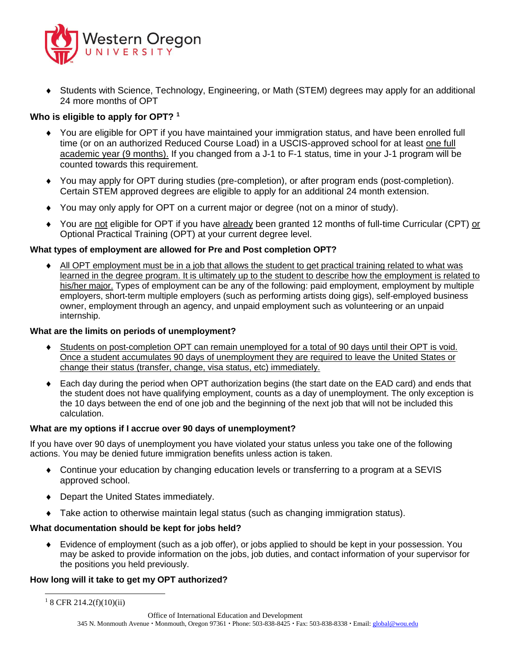

 Students with Science, Technology, Engineering, or Math (STEM) degrees may apply for an additional 24 more months of OPT

# **Who is eligible to apply for OPT? <sup>1</sup>**

- You are eligible for OPT if you have maintained your immigration status, and have been enrolled full time (or on an authorized Reduced Course Load) in a USCIS-approved school for at least one full academic year (9 months). If you changed from a J-1 to F-1 status, time in your J-1 program will be counted towards this requirement.
- You may apply for OPT during studies (pre-completion), or after program ends (post-completion). Certain STEM approved degrees are eligible to apply for an additional 24 month extension.
- You may only apply for OPT on a current major or degree (not on a minor of study).
- You are not eligible for OPT if you have already been granted 12 months of full-time Curricular (CPT) or Optional Practical Training (OPT) at your current degree level.

#### **What types of employment are allowed for Pre and Post completion OPT?**

 All OPT employment must be in a job that allows the student to get practical training related to what was learned in the degree program. It is ultimately up to the student to describe how the employment is related to his/her major. Types of employment can be any of the following: paid employment, employment by multiple employers, short-term multiple employers (such as performing artists doing gigs), self-employed business owner, employment through an agency, and unpaid employment such as volunteering or an unpaid internship.

#### **What are the limits on periods of unemployment?**

- Students on post-completion OPT can remain unemployed for a total of 90 days until their OPT is void. Once a student accumulates 90 days of unemployment they are required to leave the United States or change their status (transfer, change, visa status, etc) immediately.
- Each day during the period when OPT authorization begins (the start date on the EAD card) and ends that the student does not have qualifying employment, counts as a day of unemployment. The only exception is the 10 days between the end of one job and the beginning of the next job that will not be included this calculation.

#### **What are my options if I accrue over 90 days of unemployment?**

If you have over 90 days of unemployment you have violated your status unless you take one of the following actions. You may be denied future immigration benefits unless action is taken.

- Continue your education by changing education levels or transferring to a program at a SEVIS approved school.
- Depart the United States immediately.
- Take action to otherwise maintain legal status (such as changing immigration status).

#### **What documentation should be kept for jobs held?**

 Evidence of employment (such as a job offer), or jobs applied to should be kept in your possession. You may be asked to provide information on the jobs, job duties, and contact information of your supervisor for the positions you held previously.

#### **How long will it take to get my OPT authorized?**

 $\overline{\phantom{a}}$  $18$  CFR 214.2(f)(10)(ii)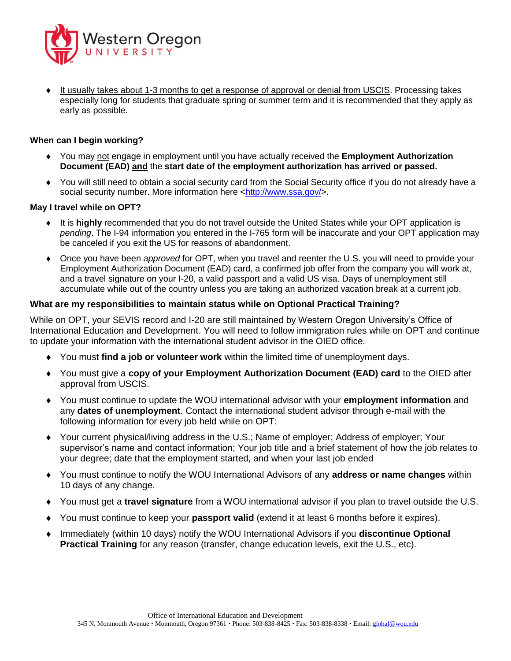

 It usually takes about 1-3 months to get a response of approval or denial from USCIS. Processing takes especially long for students that graduate spring or summer term and it is recommended that they apply as early as possible.

## **When can I begin working?**

- You may not engage in employment until you have actually received the **Employment Authorization Document (EAD) and** the **start date of the employment authorization has arrived or passed.**
- You will still need to obtain a social security card from the Social Security office if you do not already have a social security number. More information here [<http://www.ssa.gov/>](http://www.ssa.gov/).

#### **May I travel while on OPT?**

- It is **highly** recommended that you do not travel outside the United States while your OPT application is *pending*. The I-94 information you entered in the I-765 form will be inaccurate and your OPT application may be canceled if you exit the US for reasons of abandonment.
- Once you have been *approved* for OPT, when you travel and reenter the U.S. you will need to provide your Employment Authorization Document (EAD) card, a confirmed job offer from the company you will work at, and a travel signature on your I-20, a valid passport and a valid US visa. Days of unemployment still accumulate while out of the country unless you are taking an authorized vacation break at a current job.

#### **What are my responsibilities to maintain status while on Optional Practical Training?**

While on OPT, your SEVIS record and I-20 are still maintained by Western Oregon University's Office of International Education and Development. You will need to follow immigration rules while on OPT and continue to update your information with the international student advisor in the OIED office.

- You must **find a job or volunteer work** within the limited time of unemployment days.
- You must give a **copy of your Employment Authorization Document (EAD) card** to the OIED after approval from USCIS.
- You must continue to update the WOU international advisor with your **employment information** and any **dates of unemployment**. Contact the international student advisor through e-mail with the following information for every job held while on OPT:
- Your current physical/living address in the U.S.; Name of employer; Address of employer; Your supervisor's name and contact information; Your job title and a brief statement of how the job relates to your degree; date that the employment started, and when your last job ended
- You must continue to notify the WOU International Advisors of any **address or name changes** within 10 days of any change.
- You must get a **travel signature** from a WOU international advisor if you plan to travel outside the U.S.
- You must continue to keep your **passport valid** (extend it at least 6 months before it expires).
- Immediately (within 10 days) notify the WOU International Advisors if you **discontinue Optional Practical Training** for any reason (transfer, change education levels, exit the U.S., etc).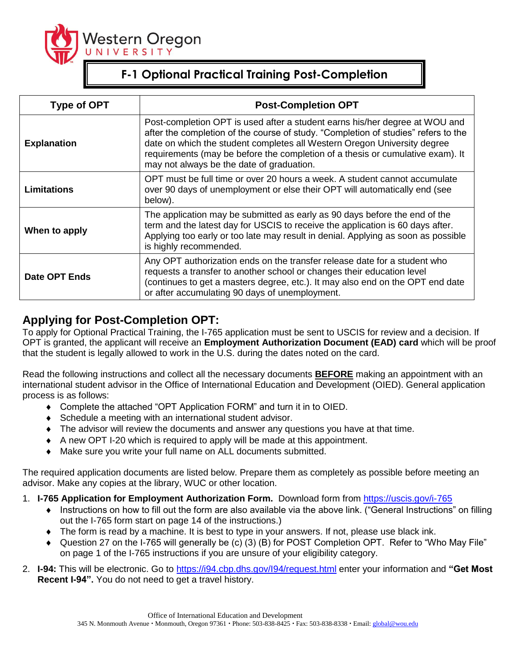

# **F-1 Optional Practical Training Post-Completion**

| <b>Type of OPT</b>   | <b>Post-Completion OPT</b>                                                                                                                                                                                                                                                                                                                                                   |  |  |  |
|----------------------|------------------------------------------------------------------------------------------------------------------------------------------------------------------------------------------------------------------------------------------------------------------------------------------------------------------------------------------------------------------------------|--|--|--|
| <b>Explanation</b>   | Post-completion OPT is used after a student earns his/her degree at WOU and<br>after the completion of the course of study. "Completion of studies" refers to the<br>date on which the student completes all Western Oregon University degree<br>requirements (may be before the completion of a thesis or cumulative exam). It<br>may not always be the date of graduation. |  |  |  |
| <b>Limitations</b>   | OPT must be full time or over 20 hours a week. A student cannot accumulate<br>over 90 days of unemployment or else their OPT will automatically end (see<br>below).                                                                                                                                                                                                          |  |  |  |
| When to apply        | The application may be submitted as early as 90 days before the end of the<br>term and the latest day for USCIS to receive the application is 60 days after.<br>Applying too early or too late may result in denial. Applying as soon as possible<br>is highly recommended.                                                                                                  |  |  |  |
| <b>Date OPT Ends</b> | Any OPT authorization ends on the transfer release date for a student who<br>requests a transfer to another school or changes their education level<br>(continues to get a masters degree, etc.). It may also end on the OPT end date<br>or after accumulating 90 days of unemployment.                                                                                      |  |  |  |

# **Applying for Post-Completion OPT:**

To apply for Optional Practical Training, the I-765 application must be sent to USCIS for review and a decision. If OPT is granted, the applicant will receive an **Employment Authorization Document (EAD) card** which will be proof that the student is legally allowed to work in the U.S. during the dates noted on the card.

Read the following instructions and collect all the necessary documents **BEFORE** making an appointment with an international student advisor in the Office of International Education and Development (OIED). General application process is as follows:

- Complete the attached "OPT Application FORM" and turn it in to OIED.
- Schedule a meeting with an international student advisor.
- The advisor will review the documents and answer any questions you have at that time.
- A new OPT I-20 which is required to apply will be made at this appointment.
- Make sure you write your full name on ALL documents submitted.

The required application documents are listed below. Prepare them as completely as possible before meeting an advisor. Make any copies at the library, WUC or other location.

- 1. **I-765 Application for Employment Authorization Form.** Download form from<https://uscis.gov/i-765>
	- Instructions on how to fill out the form are also available via the above link. ("General Instructions" on filling out the I-765 form start on page 14 of the instructions.)
	- The form is read by a machine. It is best to type in your answers. If not, please use black ink.
	- Question 27 on the I-765 will generally be (c) (3) (B) for POST Completion OPT. Refer to "Who May File" on page 1 of the I-765 instructions if you are unsure of your eligibility category.
- 2. **I-94:** This will be electronic. Go to<https://i94.cbp.dhs.gov/I94/request.html> enter your information and **"Get Most Recent I-94".** You do not need to get a travel history.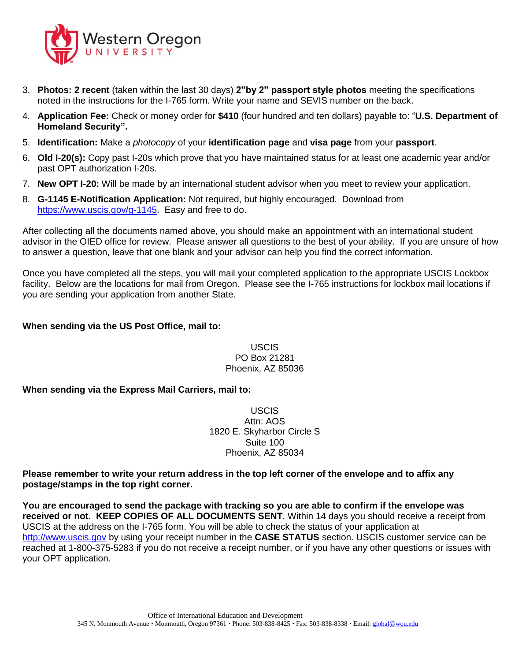

- 3. **Photos: 2 recent** (taken within the last 30 days) **2"by 2" passport style photos** meeting the specifications noted in the instructions for the I-765 form. Write your name and SEVIS number on the back.
- 4. **Application Fee:** Check or money order for **\$410** (four hundred and ten dollars) payable to: "**U.S. Department of Homeland Security".**
- 5. **Identification:** Make a *photocopy* of your **identification page** and **visa page** from your **passport**.
- 6. **Old I-20(s):** Copy past I-20s which prove that you have maintained status for at least one academic year and/or past OPT authorization I-20s.
- 7. **New OPT I-20:** Will be made by an international student advisor when you meet to review your application.
- 8. **G-1145 E-Notification Application:** Not required, but highly encouraged. Download from [https://www.uscis.gov/g-1145.](https://www.uscis.gov/g-1145) Easy and free to do.

After collecting all the documents named above, you should make an appointment with an international student advisor in the OIED office for review. Please answer all questions to the best of your ability. If you are unsure of how to answer a question, leave that one blank and your advisor can help you find the correct information.

Once you have completed all the steps, you will mail your completed application to the appropriate USCIS Lockbox facility. Below are the locations for mail from Oregon. Please see the I-765 instructions for lockbox mail locations if you are sending your application from another State.

### **When sending via the US Post Office, mail to:**

USCIS PO Box 21281 Phoenix, AZ 85036

# **When sending via the Express Mail Carriers, mail to:**

USCIS Attn: AOS 1820 E. Skyharbor Circle S Suite 100 Phoenix, AZ 85034

## **Please remember to write your return address in the top left corner of the envelope and to affix any postage/stamps in the top right corner.**

**You are encouraged to send the package with tracking so you are able to confirm if the envelope was received or not. KEEP COPIES OF ALL DOCUMENTS SENT**. Within 14 days you should receive a receipt from USCIS at the address on the I-765 form. You will be able to check the status of your application at [http://www.uscis.gov](http://www.uscis.gov/) by using your receipt number in the **CASE STATUS** section. USCIS customer service can be reached at 1-800-375-5283 if you do not receive a receipt number, or if you have any other questions or issues with your OPT application.